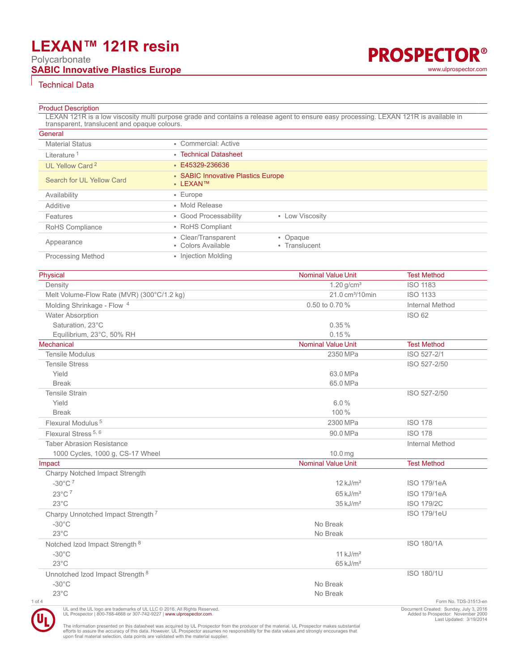## **LEXAN™ 121R resin**

Polycarbonate

### **SABIC Innovative Plastics Europe Contract Contract Contract Contract Contract Contract Contract Contract Contract Contract Contract Contract Contract Contract Contract Contract Contract Contract Contract Contract Contra**



#### Technical Data

#### **Product Description**

LEXAN 121R is a low viscosity multi purpose grade and contains a release agent to ensure easy processing. LEXAN 121R is available in transparent, translucent and opaque colours.

| General                     |                                                                        |
|-----------------------------|------------------------------------------------------------------------|
| <b>Material Status</b>      | • Commercial: Active                                                   |
| Literature <sup>1</sup>     | • Technical Datasheet                                                  |
| UL Yellow Card <sup>2</sup> | $\cdot$ E45329-236636                                                  |
| Search for UL Yellow Card   | • SABIC Innovative Plastics Europe<br>• LEXAN™                         |
| Availability                | $\cdot$ Europe                                                         |
| Additive                    | • Mold Release                                                         |
| Features                    | • Good Processability<br>• Low Viscosity                               |
| RoHS Compliance             | • RoHS Compliant                                                       |
| Appearance                  | • Clear/Transparent<br>• Opaque<br>• Colors Available<br>• Translucent |
| <b>Processing Method</b>    | • Injection Molding                                                    |

| Physical                                                                                                                                               | <b>Nominal Value Unit</b>   | <b>Test Method</b>                                                           |
|--------------------------------------------------------------------------------------------------------------------------------------------------------|-----------------------------|------------------------------------------------------------------------------|
| Density                                                                                                                                                | $1.20$ g/cm <sup>3</sup>    | <b>ISO 1183</b>                                                              |
| Melt Volume-Flow Rate (MVR) (300°C/1.2 kg)                                                                                                             | 21.0 cm <sup>3</sup> /10min | <b>ISO 1133</b>                                                              |
| Molding Shrinkage - Flow <sup>4</sup>                                                                                                                  | 0.50 to 0.70 %              | Internal Method                                                              |
| Water Absorption                                                                                                                                       |                             | <b>ISO 62</b>                                                                |
| Saturation. 23°C                                                                                                                                       | 0.35%                       |                                                                              |
| Equilibrium, 23°C, 50% RH                                                                                                                              | 0.15%                       |                                                                              |
| Mechanical                                                                                                                                             | <b>Nominal Value Unit</b>   | <b>Test Method</b>                                                           |
| <b>Tensile Modulus</b>                                                                                                                                 | 2350 MPa                    | ISO 527-2/1                                                                  |
| <b>Tensile Stress</b>                                                                                                                                  |                             | ISO 527-2/50                                                                 |
| Yield                                                                                                                                                  | 63.0 MPa                    |                                                                              |
| <b>Break</b>                                                                                                                                           | 65.0 MPa                    |                                                                              |
| <b>Tensile Strain</b>                                                                                                                                  |                             | ISO 527-2/50                                                                 |
| Yield                                                                                                                                                  | 6.0%                        |                                                                              |
| <b>Break</b>                                                                                                                                           | 100%                        |                                                                              |
| Flexural Modulus <sup>5</sup>                                                                                                                          | 2300 MPa                    | <b>ISO 178</b>                                                               |
| Flexural Stress <sup>5, 6</sup>                                                                                                                        | 90.0 MPa                    | <b>ISO 178</b>                                                               |
| <b>Taber Abrasion Resistance</b>                                                                                                                       |                             | Internal Method                                                              |
| 1000 Cycles, 1000 g, CS-17 Wheel                                                                                                                       | 10.0 <sub>mg</sub>          |                                                                              |
| Impact                                                                                                                                                 | <b>Nominal Value Unit</b>   | <b>Test Method</b>                                                           |
| Charpy Notched Impact Strength                                                                                                                         |                             |                                                                              |
| $-30^{\circ}$ C <sup>7</sup>                                                                                                                           | $12$ kJ/m <sup>2</sup>      | <b>ISO 179/1eA</b>                                                           |
| $23^{\circ}$ C <sup>7</sup>                                                                                                                            | $65 \text{ kJ/m}^2$         | <b>ISO 179/1eA</b>                                                           |
| $23^{\circ}$ C                                                                                                                                         | $35 \text{ kJ/m}^2$         | <b>ISO 179/2C</b>                                                            |
| Charpy Unnotched Impact Strength <sup>7</sup>                                                                                                          |                             | <b>ISO 179/1eU</b>                                                           |
| $-30^{\circ}$ C                                                                                                                                        | No Break                    |                                                                              |
| $23^{\circ}$ C                                                                                                                                         | No Break                    |                                                                              |
| Notched Izod Impact Strength 8                                                                                                                         |                             | <b>ISO 180/1A</b>                                                            |
| $-30^{\circ}$ C                                                                                                                                        | $11$ kJ/m <sup>2</sup>      |                                                                              |
| $23^{\circ}$ C                                                                                                                                         | $65 \text{ kJ/m}^2$         |                                                                              |
| Unnotched Izod Impact Strength 8                                                                                                                       |                             | <b>ISO 180/1U</b>                                                            |
| $-30^{\circ}$ C                                                                                                                                        | No Break                    |                                                                              |
| $23^{\circ}$ C                                                                                                                                         | No Break                    |                                                                              |
| 1 of 4                                                                                                                                                 |                             | Form No. TDS-31513-en                                                        |
| UL and the UL logo are trademarks of UL LLC @ 2016. All Rights Reserved.<br>UL Prospector   800-788-4668 or 307-742-9227   www.ulprospector.com.<br>7. |                             | Document Created: Sunday, July 3, 2016<br>Added to Prospector: November 2000 |

The information presented on this datasheet was acquired by UL Prospector from the producer of the material. UL Prospector makes substantial<br>efforts to assure the accuracy of this data. However, UL Prospector assumes no re

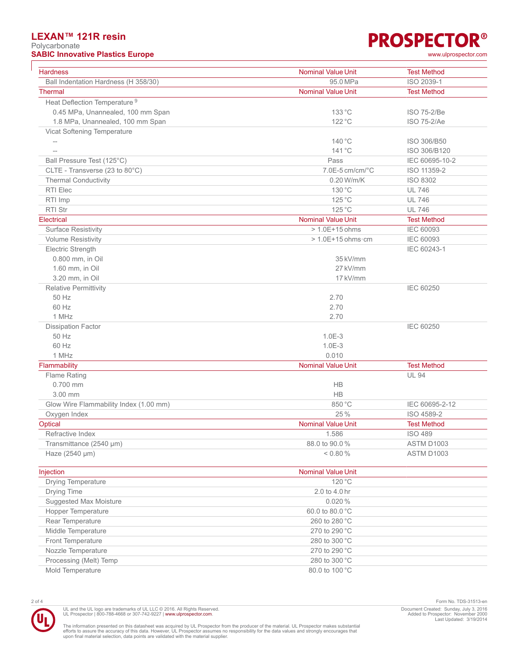#### **LEXAN™ 121R resin**

Polycarbonate **SABIC Innovative Plastics Europe** 

# **PROSPECTOR®**

| www.ulprospector.com |
|----------------------|
|                      |

| <b>Hardness</b>                          | <b>Nominal Value Unit</b>  | <b>Test Method</b> |
|------------------------------------------|----------------------------|--------------------|
| Ball Indentation Hardness (H 358/30)     | 95.0 MPa                   | ISO 2039-1         |
| <b>Thermal</b>                           | <b>Nominal Value Unit</b>  | <b>Test Method</b> |
| Heat Deflection Temperature <sup>9</sup> |                            |                    |
| 0.45 MPa, Unannealed, 100 mm Span        | 133 °C                     | ISO 75-2/Be        |
| 1.8 MPa, Unannealed, 100 mm Span         | 122 °C                     | <b>ISO 75-2/Ae</b> |
| Vicat Softening Temperature              |                            |                    |
| $-\!$ –                                  | 140 °C                     | ISO 306/B50        |
| $\qquad \qquad -$                        | $141^{\circ}$ C            | ISO 306/B120       |
| Ball Pressure Test (125°C)               | Pass                       | IEC 60695-10-2     |
| CLTE - Transverse (23 to 80°C)           | 7.0E-5 cm/cm/°C            | ISO 11359-2        |
| <b>Thermal Conductivity</b>              | 0.20 W/m/K                 | ISO 8302           |
| RTI Elec                                 | 130 °C                     | <b>UL 746</b>      |
| RTI Imp                                  | 125 °C                     | <b>UL 746</b>      |
| <b>RTI Str</b>                           | 125 °C                     | <b>UL 746</b>      |
| Electrical                               | <b>Nominal Value Unit</b>  | <b>Test Method</b> |
| <b>Surface Resistivity</b>               | $>1.0E+15$ ohms            | <b>IEC 60093</b>   |
| <b>Volume Resistivity</b>                | $>1.0E+15$ ohms $\cdot$ cm | <b>IEC 60093</b>   |
| Electric Strength                        |                            | IEC 60243-1        |
| 0.800 mm, in Oil                         | 35 kV/mm                   |                    |
| 1.60 mm, in Oil                          | 27 kV/mm                   |                    |
| 3.20 mm, in Oil                          | 17 kV/mm                   |                    |
| <b>Relative Permittivity</b>             |                            | <b>IEC 60250</b>   |
| 50 Hz                                    | 2.70                       |                    |
| 60 Hz                                    | 2.70                       |                    |
| 1 MHz                                    | 2.70                       |                    |
| <b>Dissipation Factor</b>                |                            | <b>IEC 60250</b>   |
| 50 Hz                                    | $1.0E-3$                   |                    |
| 60 Hz                                    | $1.0E-3$                   |                    |
| 1 MHz                                    | 0.010                      |                    |
| Flammability                             | <b>Nominal Value Unit</b>  | <b>Test Method</b> |
| Flame Rating                             |                            | <b>UL 94</b>       |
| 0.700 mm                                 | HB                         |                    |
| 3.00 mm                                  | HB                         |                    |
| Glow Wire Flammability Index (1.00 mm)   | 850 °C                     | IEC 60695-2-12     |
| Oxygen Index                             | 25 %                       | ISO 4589-2         |
| Optical                                  | <b>Nominal Value Unit</b>  | <b>Test Method</b> |
| Refractive Index                         | 1.586                      | <b>ISO 489</b>     |
| Transmittance (2540 µm)                  | 88.0 to 90.0%              | ASTM D1003         |
| Haze (2540 µm)                           | < 0.80 %                   | ASTM D1003         |
| Injection                                | <b>Nominal Value Unit</b>  |                    |
| Drying Temperature                       | 120 °C                     |                    |
| Drying Time                              | 2.0 to 4.0 hr              |                    |
| Suggested Max Moisture                   | 0.020%                     |                    |
| Hopper Temperature                       | 60.0 to 80.0 °C            |                    |

Rear Temperature 260 to 280 °C Middle Temperature 270 to 290 °C Front Temperature 280 to 300 °C Nozzle Temperature 270 to 290 °C Processing (Melt) Temp 280 to 300 °C Mold Temperature 80.0 to 100 °C



UL and the UL logo are trademarks of UL LLC © 2016. All Rights Reserved.<br>UL Prospector | 800-788-4668 or 307-742-9227 | [www.ulprospector.com](http://www.ulprospector.com).

2 of 4 Form No. TDS-31513-en Document Created: Sunday, July 3, 2016 Added to Prospector: November 2000 Last Updated: 3/19/2014

The information presented on this datasheet was acquired by UL Prospector from the producer of the material. UL Prospector makes substantial<br>efforts to assure the accuracy of this data. However, UL Prospector assumes no re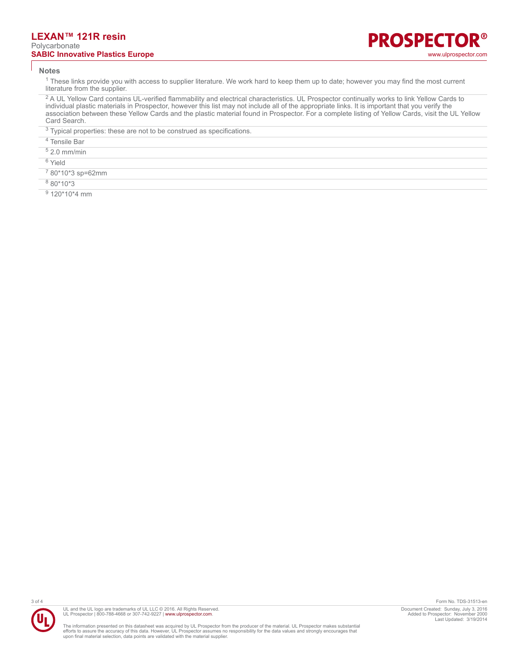#### **LEXAN™ 121R resin** Polycarbonate **SABIC Innovative Plastics Europe Contract Contract Contract Contract Contract Contract Contract Contract Contract Contract Contract Contract Contract Contract Contract Contract Contract Contract Contract Contract Contra**

#### **Notes**

<sup>1</sup> These links provide you with access to supplier literature. We work hard to keep them up to date; however you may find the most current literature from the supplier.

<sup>2</sup> A UL Yellow Card contains UL-verified flammability and electrical characteristics. UL Prospector continually works to link Yellow Cards to individual plastic materials in Prospector, however this list may not include all of the appropriate links. It is important that you verify the association between these Yellow Cards and the plastic material found in Prospector. For a complete listing of Yellow Cards, visit the UL Yellow Card Search.

 $3$  Typical properties: these are not to be construed as specifications.

- 4 Tensile Bar
- 5 2.0 mm/min
- <sup>6</sup> Yield
- 7 80\*10\*3 sp=62mm
- 8 80\*10\*3
- <sup>9</sup> 120\*10\*4 mm



The information presented on this datasheet was acquired by UL Prospector from the producer of the material. UL Prospector makes substantial<br>efforts to assure the accuracy of this data. However, UL Prospector assumes no re

3 of 4 Form No. TDS-31513-en Document Created: Sunday, July 3, 2016 Added to Prospector: November 2000 Last Updated: 3/19/2014